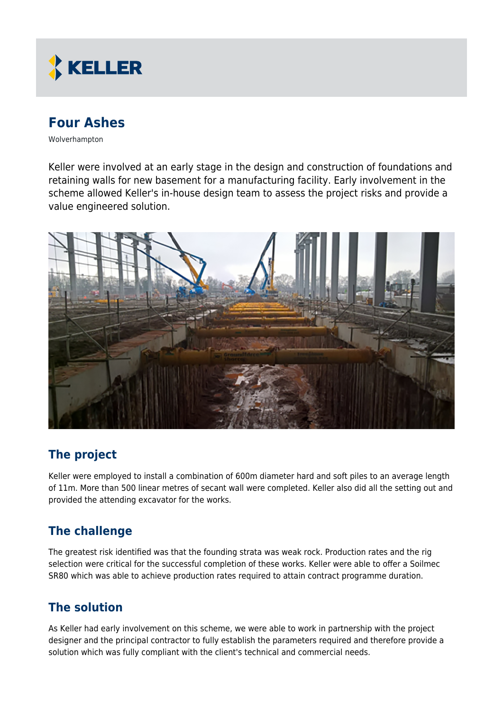

# **Four Ashes**

Wolverhampton

Keller were involved at an early stage in the design and construction of foundations and retaining walls for new basement for a manufacturing facility. Early involvement in the scheme allowed Keller's in-house design team to assess the project risks and provide a value engineered solution.



### **The project**

Keller were employed to install a combination of 600m diameter hard and soft piles to an average length of 11m. More than 500 linear metres of secant wall were completed. Keller also did all the setting out and provided the attending excavator for the works.

### **The challenge**

The greatest risk identified was that the founding strata was weak rock. Production rates and the rig selection were critical for the successful completion of these works. Keller were able to offer a Soilmec SR80 which was able to achieve production rates required to attain contract programme duration.

#### **The solution**

As Keller had early involvement on this scheme, we were able to work in partnership with the project designer and the principal contractor to fully establish the parameters required and therefore provide a solution which was fully compliant with the client's technical and commercial needs.